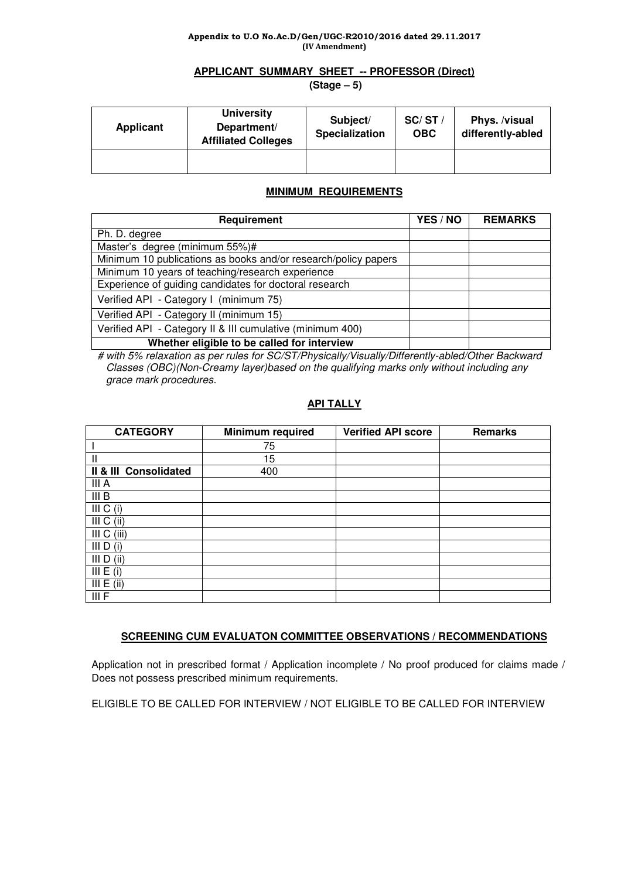#### Appendix to U.O No.Ac.D/Gen/UGC-R2010/2016 dated 29.11.2017 (IV Amendment)

# **APPLICANT SUMMARY SHEET -- PROFESSOR (Direct)**

 **(Stage – 5)** 

| <b>Applicant</b> | <b>University</b><br>Department/<br><b>Affiliated Colleges</b> | Subject/<br><b>Specialization</b> | SC/ST/<br><b>OBC</b> | Phys. /visual<br>differently-abled |
|------------------|----------------------------------------------------------------|-----------------------------------|----------------------|------------------------------------|
|                  |                                                                |                                   |                      |                                    |

# **MINIMUM REQUIREMENTS**

| Requirement                                                    | YES / NO | <b>REMARKS</b> |
|----------------------------------------------------------------|----------|----------------|
| Ph. D. degree                                                  |          |                |
| Master's degree (minimum 55%)#                                 |          |                |
| Minimum 10 publications as books and/or research/policy papers |          |                |
| Minimum 10 years of teaching/research experience               |          |                |
| Experience of guiding candidates for doctoral research         |          |                |
| Verified API - Category I (minimum 75)                         |          |                |
| Verified API - Category II (minimum 15)                        |          |                |
| Verified API - Category II & III cumulative (minimum 400)      |          |                |
| Whether eligible to be called for interview                    |          |                |

 # with 5% relaxation as per rules for SC/ST/Physically/Visually/Differently-abled/Other Backward Classes (OBC)(Non-Creamy layer)based on the qualifying marks only without including any grace mark procedures.

# **API TALLY**

| <b>CATEGORY</b>       | Minimum required | <b>Verified API score</b> | <b>Remarks</b> |
|-----------------------|------------------|---------------------------|----------------|
|                       | 75               |                           |                |
| $\mathbf{I}$          | 15               |                           |                |
| Il & III Consolidated | 400              |                           |                |
| III A                 |                  |                           |                |
| III B                 |                  |                           |                |
| III C (i)             |                  |                           |                |
| III C (ii)            |                  |                           |                |
| III C (iii)           |                  |                           |                |
| III D (i)             |                  |                           |                |
| III D (ii)            |                  |                           |                |
| III E (i)             |                  |                           |                |
| III E (ii)            |                  |                           |                |
| III F                 |                  |                           |                |

# **SCREENING CUM EVALUATON COMMITTEE OBSERVATIONS / RECOMMENDATIONS**

Application not in prescribed format / Application incomplete / No proof produced for claims made / Does not possess prescribed minimum requirements.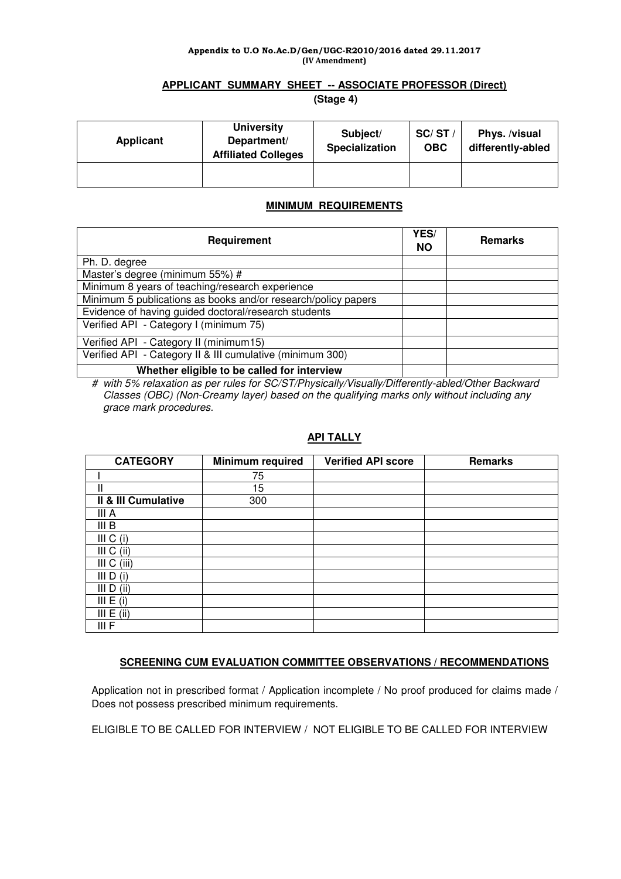#### Appendix to U.O No.Ac.D/Gen/UGC-R2010/2016 dated 29.11.2017 (IV Amendment)

## **APPLICANT SUMMARY SHEET -- ASSOCIATE PROFESSOR (Direct)**

 **(Stage 4)** 

| Applicant | <b>University</b><br>Department/<br><b>Affiliated Colleges</b> | Subject/<br><b>Specialization</b> | SC/ST/<br><b>OBC</b> | Phys. /visual<br>differently-abled |
|-----------|----------------------------------------------------------------|-----------------------------------|----------------------|------------------------------------|
|           |                                                                |                                   |                      |                                    |

## **MINIMUM REQUIREMENTS**

| Requirement                                                   | YES/<br><b>NO</b> | <b>Remarks</b> |
|---------------------------------------------------------------|-------------------|----------------|
| Ph. D. degree                                                 |                   |                |
| Master's degree (minimum 55%) #                               |                   |                |
| Minimum 8 years of teaching/research experience               |                   |                |
| Minimum 5 publications as books and/or research/policy papers |                   |                |
| Evidence of having guided doctoral/research students          |                   |                |
| Verified API - Category I (minimum 75)                        |                   |                |
| Verified API - Category II (minimum15)                        |                   |                |
| Verified API - Category II & III cumulative (minimum 300)     |                   |                |
| Whether eligible to be called for interview                   |                   |                |

# with 5% relaxation as per rules for SC/ST/Physically/Visually/Differently-abled/Other Backward Classes (OBC) (Non-Creamy layer) based on the qualifying marks only without including any grace mark procedures.

## **API TALLY**

| <b>CATEGORY</b>     | <b>Minimum required</b> | <b>Verified API score</b> | <b>Remarks</b> |
|---------------------|-------------------------|---------------------------|----------------|
|                     | 75                      |                           |                |
| Ш                   | 15                      |                           |                |
| Il & III Cumulative | 300                     |                           |                |
| III A               |                         |                           |                |
| III <sub>B</sub>    |                         |                           |                |
| III C (i)           |                         |                           |                |
| III C (ii)          |                         |                           |                |
| III C (iii)         |                         |                           |                |
| III D (i)           |                         |                           |                |
| III D (ii)          |                         |                           |                |
| III E (i)           |                         |                           |                |
| III E (ii)          |                         |                           |                |
| III F               |                         |                           |                |

## **SCREENING CUM EVALUATION COMMITTEE OBSERVATIONS / RECOMMENDATIONS**

Application not in prescribed format / Application incomplete / No proof produced for claims made / Does not possess prescribed minimum requirements.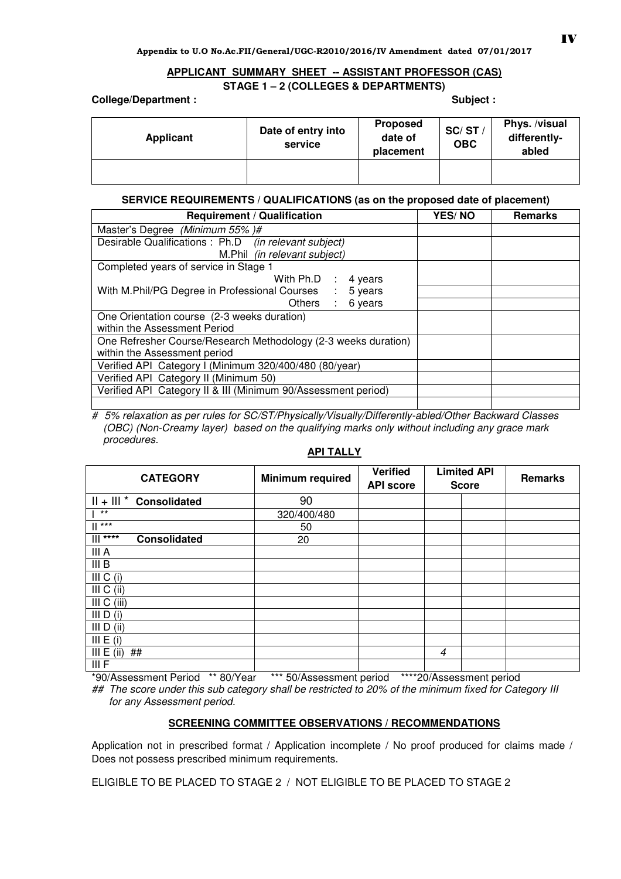## **APPLICANT SUMMARY SHEET -- ASSISTANT PROFESSOR (CAS) STAGE 1 – 2 (COLLEGES & DEPARTMENTS)**

**College/Department :** 

| Subject |  |  |
|---------|--|--|
|         |  |  |

| Applicant | Date of entry into<br>service | <b>Proposed</b><br>date of<br>placement | SC/ST<br><b>OBC</b> | Phys. /visual<br>differently-<br>abled |
|-----------|-------------------------------|-----------------------------------------|---------------------|----------------------------------------|
|           |                               |                                         |                     |                                        |

## **SERVICE REQUIREMENTS / QUALIFICATIONS (as on the proposed date of placement)**

| <b>Requirement / Qualification</b>                             | <b>YES/NO</b> | <b>Remarks</b> |
|----------------------------------------------------------------|---------------|----------------|
| Master's Degree (Minimum 55%)#                                 |               |                |
| Desirable Qualifications : Ph.D (in relevant subject)          |               |                |
| M.Phil (in relevant subject)                                   |               |                |
| Completed years of service in Stage 1                          |               |                |
| With $Ph.D$ :<br>4 years                                       |               |                |
| With M.Phil/PG Degree in Professional Courses :<br>5 years     |               |                |
| Others : 6 years                                               |               |                |
| One Orientation course (2-3 weeks duration)                    |               |                |
| within the Assessment Period                                   |               |                |
| One Refresher Course/Research Methodology (2-3 weeks duration) |               |                |
| within the Assessment period                                   |               |                |
| Verified API Category I (Minimum 320/400/480 (80/year)         |               |                |
| Verified API Category II (Minimum 50)                          |               |                |
| Verified API Category II & III (Minimum 90/Assessment period)  |               |                |
|                                                                |               |                |

# 5% relaxation as per rules for SC/ST/Physically/Visually/Differently-abled/Other Backward Classes (OBC) (Non-Creamy layer) based on the qualifying marks only without including any grace mark procedures.

| <b>CATEGORY</b>                   | <b>Minimum required</b> | <b>Verified</b><br><b>API score</b> | <b>Limited API</b><br><b>Score</b> | <b>Remarks</b> |
|-----------------------------------|-------------------------|-------------------------------------|------------------------------------|----------------|
| $   +    $ * Consolidated         | 90                      |                                     |                                    |                |
| $***$                             | 320/400/480             |                                     |                                    |                |
| $***$<br>ш.                       | 50                      |                                     |                                    |                |
| $   $ ****<br><b>Consolidated</b> | 20                      |                                     |                                    |                |
| III A                             |                         |                                     |                                    |                |
| III B                             |                         |                                     |                                    |                |
| III C (i)                         |                         |                                     |                                    |                |
| III C (ii)                        |                         |                                     |                                    |                |
| III C (iii)                       |                         |                                     |                                    |                |
| III $D(i)$                        |                         |                                     |                                    |                |
| III D (ii)                        |                         |                                     |                                    |                |
| III E (i)                         |                         |                                     |                                    |                |
| III E (ii)<br>##                  |                         |                                     | $\overline{4}$                     |                |
| III F                             |                         |                                     |                                    |                |

## **API TALLY**

\*90/Assessment Period \*\* 80/Year \*\*\* 50/Assessment period \*\*\*\*20/Assessment period ## The score under this sub category shall be restricted to 20% of the minimum fixed for Category III for any Assessment period.

## **SCREENING COMMITTEE OBSERVATIONS / RECOMMENDATIONS**

Application not in prescribed format / Application incomplete / No proof produced for claims made / Does not possess prescribed minimum requirements.

ELIGIBLE TO BE PLACED TO STAGE 2 / NOT ELIGIBLE TO BE PLACED TO STAGE 2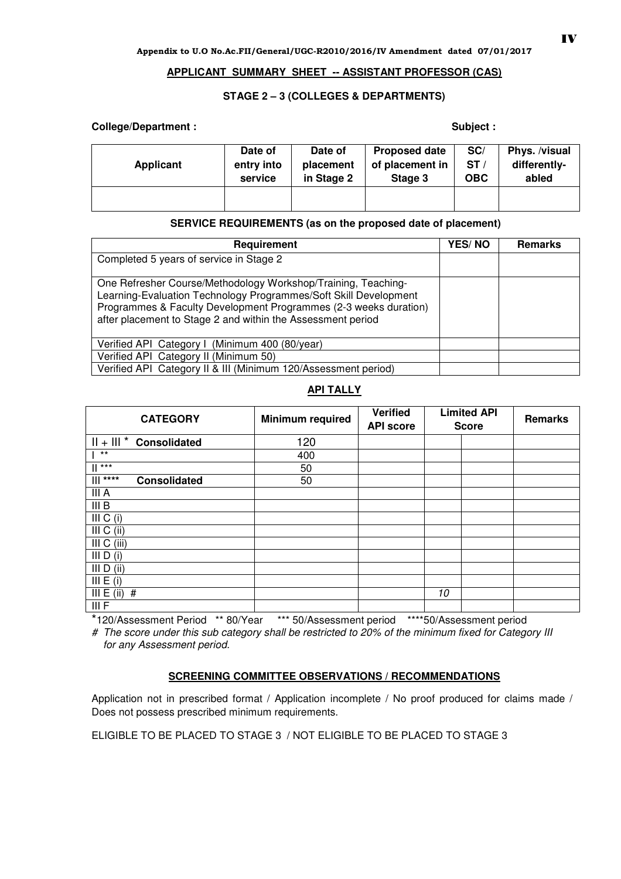### **APPLICANT SUMMARY SHEET -- ASSISTANT PROFESSOR (CAS)**

## **STAGE 2 – 3 (COLLEGES & DEPARTMENTS)**

## **College/Department :**

| Subject : |  |  |
|-----------|--|--|
|           |  |  |

| Applicant | Date of    | Date of    | <b>Proposed date</b> | SC/        | Phys. /visual |
|-----------|------------|------------|----------------------|------------|---------------|
|           | entry into | placement  | of placement in      | ST/        | differently-  |
|           | service    | in Stage 2 | Stage 3              | <b>OBC</b> | abled         |
|           |            |            |                      |            |               |

## **SERVICE REQUIREMENTS (as on the proposed date of placement)**

| Requirement                                                                                                                                                                                                                                                          | <b>YES/NO</b> | <b>Remarks</b> |
|----------------------------------------------------------------------------------------------------------------------------------------------------------------------------------------------------------------------------------------------------------------------|---------------|----------------|
| Completed 5 years of service in Stage 2                                                                                                                                                                                                                              |               |                |
| One Refresher Course/Methodology Workshop/Training, Teaching-<br>Learning-Evaluation Technology Programmes/Soft Skill Development<br>Programmes & Faculty Development Programmes (2-3 weeks duration)<br>after placement to Stage 2 and within the Assessment period |               |                |
| Verified API Category I (Minimum 400 (80/year)                                                                                                                                                                                                                       |               |                |
| Verified API Category II (Minimum 50)                                                                                                                                                                                                                                |               |                |
| Verified API Category II & III (Minimum 120/Assessment period)                                                                                                                                                                                                       |               |                |

## **API TALLY**

| <b>CATEGORY</b>                   | <b>Minimum required</b> | <b>Verified</b><br><b>API score</b> | <b>Limited API</b><br><b>Score</b> | Remarks |
|-----------------------------------|-------------------------|-------------------------------------|------------------------------------|---------|
| $   +    $ * Consolidated         | 120                     |                                     |                                    |         |
| $***$                             | 400                     |                                     |                                    |         |
| $\mathbb{I}$ ***                  | 50                      |                                     |                                    |         |
| $   $ ****<br><b>Consolidated</b> | 50                      |                                     |                                    |         |
| III A                             |                         |                                     |                                    |         |
| III B                             |                         |                                     |                                    |         |
| III C (i)                         |                         |                                     |                                    |         |
| III $C$ (ii)                      |                         |                                     |                                    |         |
| III C (iii)                       |                         |                                     |                                    |         |
| III $D(i)$                        |                         |                                     |                                    |         |
| III D (ii)                        |                         |                                     |                                    |         |
| III E (i)                         |                         |                                     |                                    |         |
| III $E$ (ii)<br>#                 |                         |                                     | 10                                 |         |
| III F                             |                         |                                     |                                    |         |

\*120/Assessment Period \*\* 80/Year \*\*\* 50/Assessment period \*\*\*\*50/Assessment period

# The score under this sub category shall be restricted to 20% of the minimum fixed for Category III for any Assessment period.

## **SCREENING COMMITTEE OBSERVATIONS / RECOMMENDATIONS**

Application not in prescribed format / Application incomplete / No proof produced for claims made / Does not possess prescribed minimum requirements.

ELIGIBLE TO BE PLACED TO STAGE 3 / NOT ELIGIBLE TO BE PLACED TO STAGE 3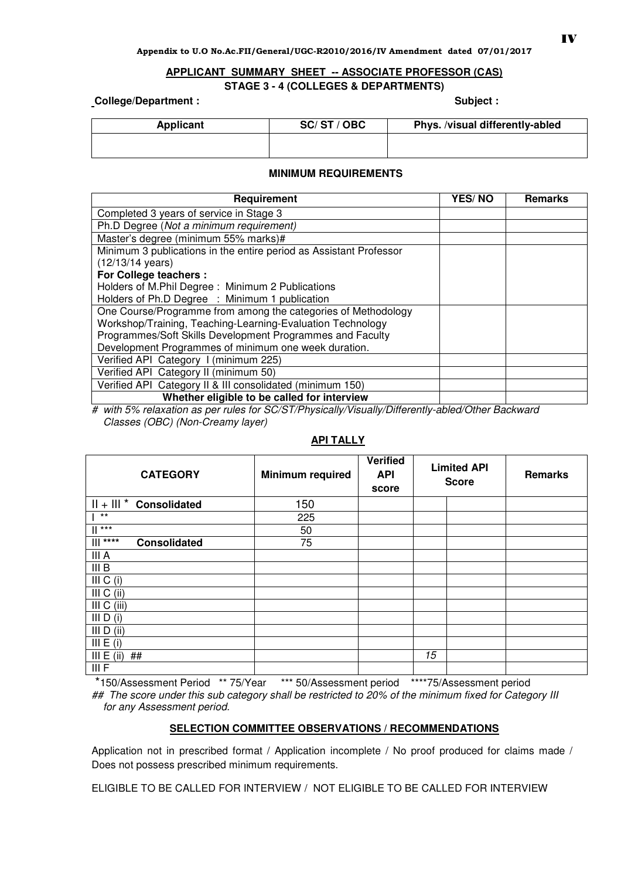# **APPLICANT SUMMARY SHEET -- ASSOCIATE PROFESSOR (CAS)**

#### **STAGE 3 - 4 (COLLEGES & DEPARTMENTS)**

**College/Department :** 

|  | <b>Subject</b> |  |
|--|----------------|--|
|  |                |  |

| Applicant | SC/ST/OBC | Phys. /visual differently-abled |
|-----------|-----------|---------------------------------|
|           |           |                                 |

#### **MINIMUM REQUIREMENTS**

| Requirement                                                        | <b>YES/NO</b> | <b>Remarks</b> |
|--------------------------------------------------------------------|---------------|----------------|
| Completed 3 years of service in Stage 3                            |               |                |
| Ph.D Degree (Not a minimum requirement)                            |               |                |
| Master's degree (minimum 55% marks)#                               |               |                |
| Minimum 3 publications in the entire period as Assistant Professor |               |                |
| $(12/13/14 \text{ years})$                                         |               |                |
| <b>For College teachers:</b>                                       |               |                |
| Holders of M.Phil Degree: Minimum 2 Publications                   |               |                |
| Holders of Ph.D Degree : Minimum 1 publication                     |               |                |
| One Course/Programme from among the categories of Methodology      |               |                |
| Workshop/Training, Teaching-Learning-Evaluation Technology         |               |                |
| Programmes/Soft Skills Development Programmes and Faculty          |               |                |
| Development Programmes of minimum one week duration.               |               |                |
| Verified API Category I (minimum 225)                              |               |                |
| Verified API Category II (minimum 50)                              |               |                |
| Verified API Category II & III consolidated (minimum 150)          |               |                |
| Whether eligible to be called for interview                        |               |                |

# with 5% relaxation as per rules for SC/ST/Physically/Visually/Differently-abled/Other Backward Classes (OBC) (Non-Creamy layer)

| <b>CATEGORY</b>                    | <b>Minimum required</b> | <b>Verified</b><br><b>API</b><br>score | <b>Limited API</b><br><b>Score</b> |  | Remarks |
|------------------------------------|-------------------------|----------------------------------------|------------------------------------|--|---------|
| $   +    $ * Consolidated          | 150                     |                                        |                                    |  |         |
| $***$                              | 225                     |                                        |                                    |  |         |
| $\mathbb{I}$ ***                   | 50                      |                                        |                                    |  |         |
| $****$<br>Ш<br><b>Consolidated</b> | 75                      |                                        |                                    |  |         |
| III A                              |                         |                                        |                                    |  |         |
| III B                              |                         |                                        |                                    |  |         |
| III C (i)                          |                         |                                        |                                    |  |         |
| III C (ii)                         |                         |                                        |                                    |  |         |
| III C (iii)                        |                         |                                        |                                    |  |         |
| III D (i)                          |                         |                                        |                                    |  |         |
| III D (ii)                         |                         |                                        |                                    |  |         |
| III E (i)                          |                         |                                        |                                    |  |         |
| III E (ii)<br>##                   |                         |                                        | 15                                 |  |         |
| III F                              |                         |                                        |                                    |  |         |

# **API TALLY**

 \*150/Assessment Period \*\* 75/Year \*\*\* 50/Assessment period \*\*\*\*75/Assessment period ## The score under this sub category shall be restricted to 20% of the minimum fixed for Category III for any Assessment period.

## **SELECTION COMMITTEE OBSERVATIONS / RECOMMENDATIONS**

Application not in prescribed format / Application incomplete / No proof produced for claims made / Does not possess prescribed minimum requirements.